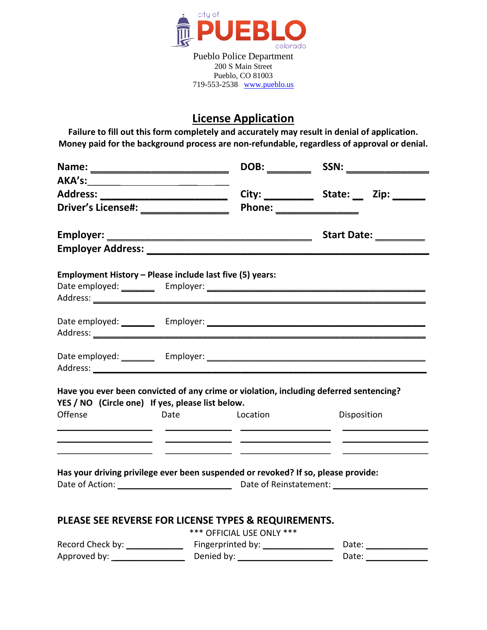

# **License Application**

**Failure to fill out this form completely and accurately may result in denial of application. Money paid for the background process are non-refundable, regardless of approval or denial.**

| Driver's License#: __________________                                             |                           | Phone: ________________                                                                |
|-----------------------------------------------------------------------------------|---------------------------|----------------------------------------------------------------------------------------|
|                                                                                   |                           | Start Date: _________                                                                  |
|                                                                                   |                           |                                                                                        |
| Employment History - Please include last five (5) years:                          |                           |                                                                                        |
|                                                                                   |                           |                                                                                        |
|                                                                                   |                           |                                                                                        |
|                                                                                   |                           |                                                                                        |
| YES / NO (Circle one) If yes, please list below.                                  |                           | Have you ever been convicted of any crime or violation, including deferred sentencing? |
| Offense                                                                           | Date Location             | <b>Disposition</b>                                                                     |
| <u> 1989 - Johann Barbara, martxa al-</u>                                         |                           | <u> The Communication of the Communication</u>                                         |
| Has your driving privilege ever been suspended or revoked? If so, please provide: |                           |                                                                                        |
| PLEASE SEE REVERSE FOR LICENSE TYPES & REQUIREMENTS.                              | *** OFFICIAL USE ONLY *** |                                                                                        |
|                                                                                   |                           |                                                                                        |
|                                                                                   |                           |                                                                                        |